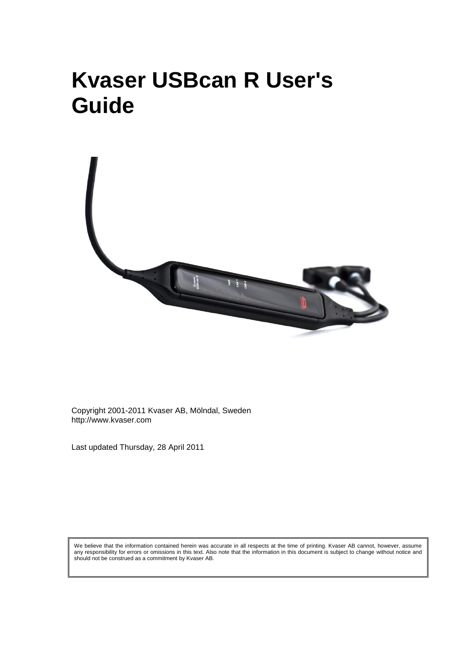# <span id="page-0-0"></span>**Kvaser USBcan R User's Guide**



Copyright 2001-2011 Kvaser AB, Mölndal, Sweden http://www.kvaser.com

Last updated Thursday, 28 April 2011

We believe that the information contained herein was accurate in all respects at the time of printing. Kvaser AB cannot, however, assume any responsibility for errors or omissions in this text. Also note that the information in this document is subject to change without notice and should not be construed as a commitment by Kvaser AB.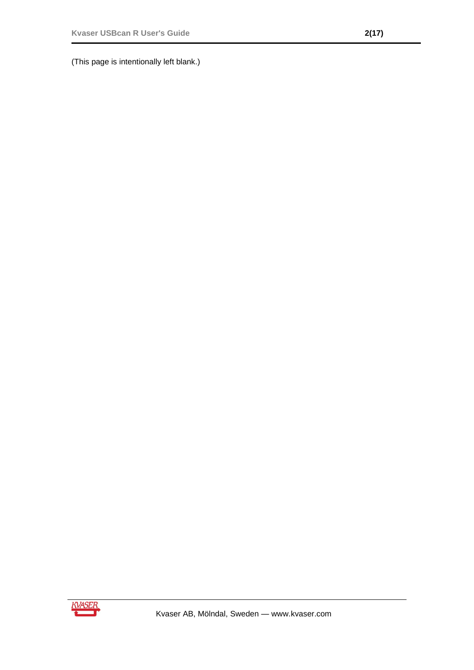(This page is intentionally left blank.)

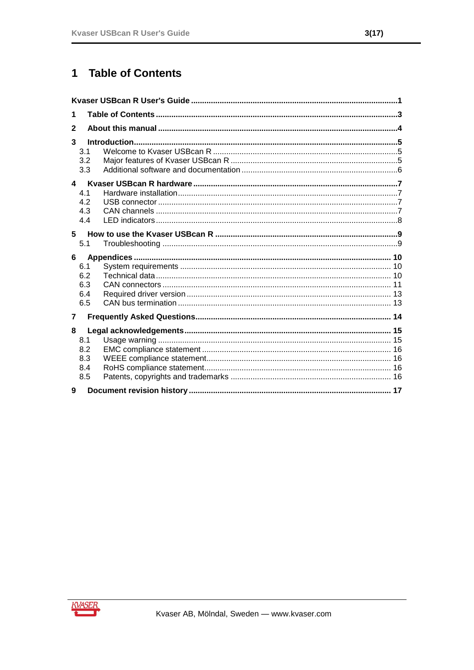#### <span id="page-2-0"></span>**Table of Contents**  $\mathbf 1$

| 1                                        |               |  |
|------------------------------------------|---------------|--|
| $\mathbf{2}$                             |               |  |
| 3<br>3.1<br>3.2<br>3.3                   | Introduction. |  |
| $\mathbf{A}$<br>4.1<br>4.2<br>4.3<br>4.4 |               |  |
| 5<br>5.1                                 |               |  |
|                                          |               |  |
| 6<br>6.1<br>6.2<br>6.3<br>6.4<br>6.5     |               |  |
| 7                                        |               |  |
| 8<br>8.1<br>8.2<br>8.3<br>8.4<br>8.5     |               |  |

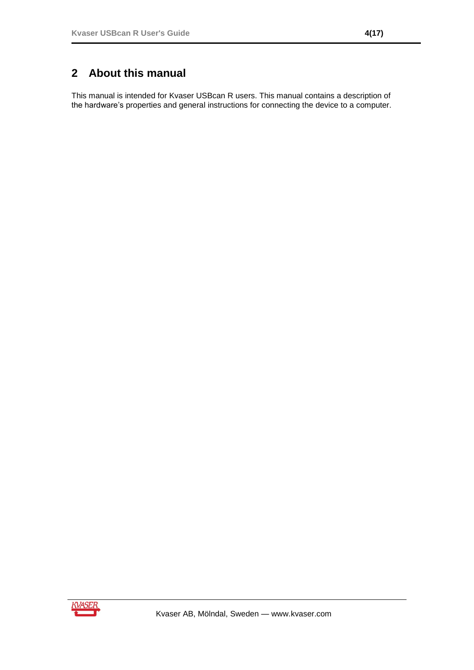# <span id="page-3-0"></span>**2 About this manual**

This manual is intended for Kvaser USBcan R users. This manual contains a description of the hardware's properties and general instructions for connecting the device to a computer.

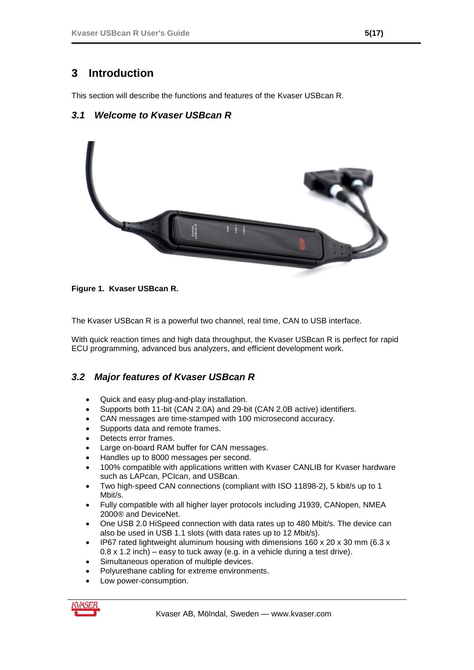# <span id="page-4-0"></span>**3 Introduction**

This section will describe the functions and features of the Kvaser USBcan R.

## <span id="page-4-1"></span>*3.1 Welcome to Kvaser USBcan R*



**Figure 1. Kvaser USBcan R.** 

The Kvaser USBcan R is a powerful two channel, real time, CAN to USB interface.

With quick reaction times and high data throughput, the Kvaser USBcan R is perfect for rapid ECU programming, advanced bus analyzers, and efficient development work.

## <span id="page-4-2"></span>*3.2 Major features of Kvaser USBcan R*

- Quick and easy plug-and-play installation.
- Supports both 11-bit (CAN 2.0A) and 29-bit (CAN 2.0B active) identifiers.
- CAN messages are time-stamped with 100 microsecond accuracy.
- Supports data and remote frames.
- Detects error frames.
- Large on-board RAM buffer for CAN messages.
- Handles up to 8000 messages per second.
- 100% compatible with applications written with Kvaser CANLIB for Kvaser hardware such as LAPcan, PCIcan, and USBcan.
- Two high-speed CAN connections (compliant with ISO 11898-2), 5 kbit/s up to 1 Mbit/s.
- Fully compatible with all higher layer protocols including J1939, CANopen, NMEA 2000® and DeviceNet.
- One USB 2.0 HiSpeed connection with data rates up to 480 Mbit/s. The device can also be used in USB 1.1 slots (with data rates up to 12 Mbit/s).
- IP67 rated lightweight aluminum housing with dimensions  $160 \times 20 \times 30$  mm (6.3 x 0.8 x 1.2 inch) – easy to tuck away (e.g. in a vehicle during a test drive).
- Simultaneous operation of multiple devices.
- Polyurethane cabling for extreme environments.
- Low power-consumption.

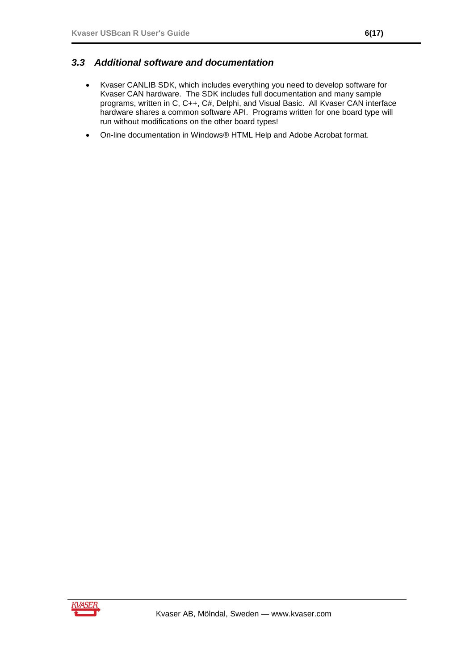### <span id="page-5-0"></span>*3.3 Additional software and documentation*

- Kvaser CANLIB SDK, which includes everything you need to develop software for Kvaser CAN hardware. The SDK includes full documentation and many sample programs, written in C, C++, C#, Delphi, and Visual Basic. All Kvaser CAN interface hardware shares a common software API. Programs written for one board type will run without modifications on the other board types!
- On-line documentation in Windows® HTML Help and Adobe Acrobat format.

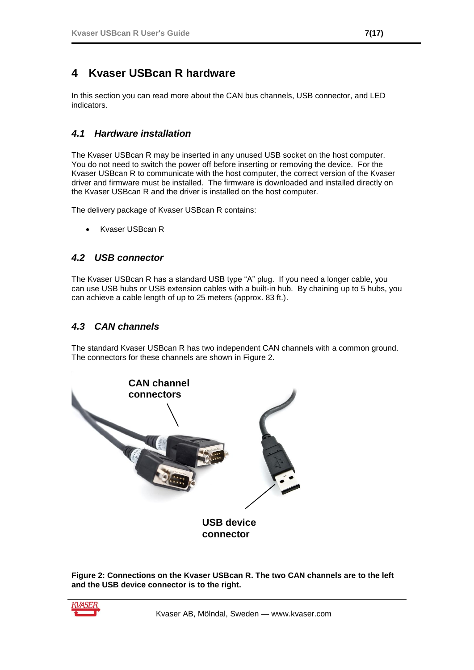<span id="page-6-0"></span>In this section you can read more about the CAN bus channels, USB connector, and LED indicators.

### <span id="page-6-1"></span>*4.1 Hardware installation*

The Kvaser USBcan R may be inserted in any unused USB socket on the host computer. You do not need to switch the power off before inserting or removing the device. For the Kvaser USBcan R to communicate with the host computer, the correct version of the Kvaser driver and firmware must be installed. The firmware is downloaded and installed directly on the Kvaser USBcan R and the driver is installed on the host computer.

The delivery package of Kvaser USBcan R contains:

Kvaser USBcan R

#### <span id="page-6-2"></span>*4.2 USB connector*

The Kvaser USBcan R has a standard USB type "A" plug. If you need a longer cable, you can use USB hubs or USB extension cables with a built-in hub. By chaining up to 5 hubs, you can achieve a cable length of up to 25 meters (approx. 83 ft.).

#### <span id="page-6-3"></span>*4.3 CAN channels*

The standard Kvaser USBcan R has two independent CAN channels with a common ground. The connectors for these channels are shown in Figure 2.



**Figure 2: Connections on the Kvaser USBcan R. The two CAN channels are to the left and the USB device connector is to the right.**

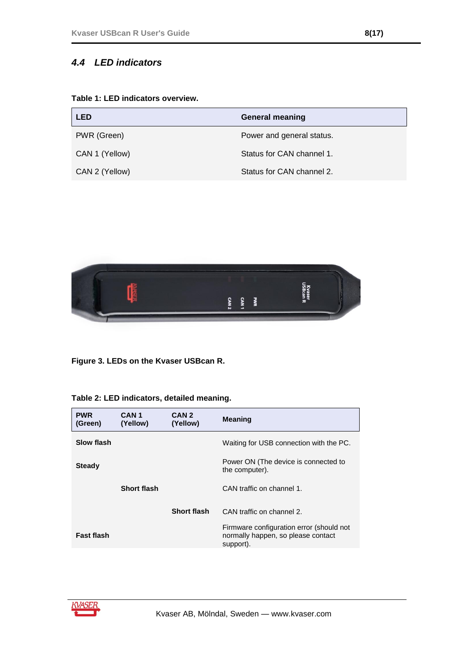## <span id="page-7-0"></span>*4.4 LED indicators*

<span id="page-7-1"></span>

| Table 1: LED indicators overview. |  |  |  |  |
|-----------------------------------|--|--|--|--|
|-----------------------------------|--|--|--|--|

| <b>LED</b>     | <b>General meaning</b>    |
|----------------|---------------------------|
| PWR (Green)    | Power and general status. |
| CAN 1 (Yellow) | Status for CAN channel 1. |
| CAN 2 (Yellow) | Status for CAN channel 2. |



#### **Figure 3. LEDs on the Kvaser USBcan R.**

<span id="page-7-2"></span>

| <b>PWR</b><br>(Green) | CAN <sub>1</sub><br>(Yellow) | CAN <sub>2</sub><br>(Yellow) | <b>Meaning</b>                                                                              |
|-----------------------|------------------------------|------------------------------|---------------------------------------------------------------------------------------------|
| <b>Slow flash</b>     |                              |                              | Waiting for USB connection with the PC.                                                     |
| <b>Steady</b>         |                              |                              | Power ON (The device is connected to<br>the computer).                                      |
|                       | <b>Short flash</b>           |                              | CAN traffic on channel 1.                                                                   |
|                       |                              | <b>Short flash</b>           | CAN traffic on channel 2.                                                                   |
| <b>Fast flash</b>     |                              |                              | Firmware configuration error (should not<br>normally happen, so please contact<br>support). |

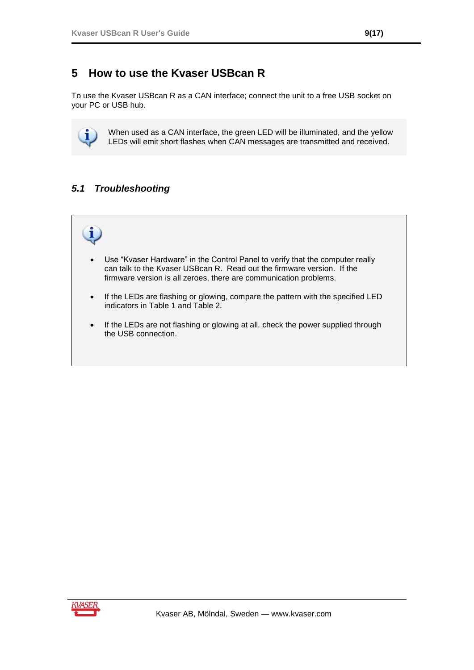# <span id="page-8-0"></span>**5 How to use the Kvaser USBcan R**

To use the Kvaser USBcan R as a CAN interface; connect the unit to a free USB socket on your PC or USB hub.



When used as a CAN interface, the green LED will be illuminated, and the yellow LEDs will emit short flashes when CAN messages are transmitted and received.

## <span id="page-8-1"></span>*5.1 Troubleshooting*



- Use "Kvaser Hardware" in the Control Panel to verify that the computer really can talk to the Kvaser USBcan R. Read out the firmware version. If the firmware version is all zeroes, there are communication problems.
- If the LEDs are flashing or glowing, compare the pattern with the specified LED indicators in [Table 1](#page-7-1) and [Table 2.](#page-7-2)
- If the LEDs are not flashing or glowing at all, check the power supplied through the USB connection.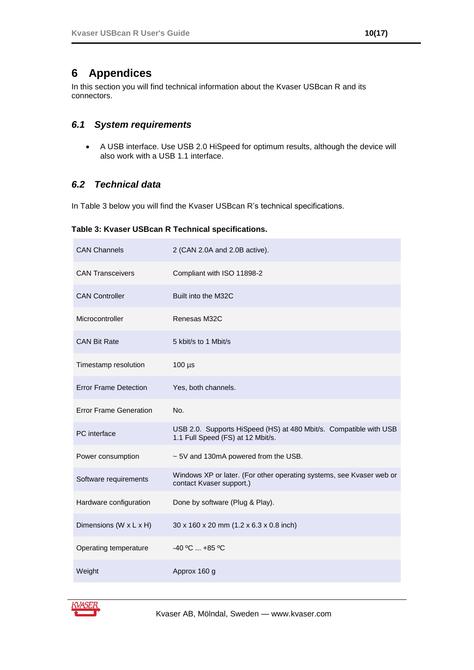# <span id="page-9-0"></span>**6 Appendices**

In this section you will find technical information about the Kvaser USBcan R and its connectors.

## <span id="page-9-1"></span>*6.1 System requirements*

 A USB interface. Use USB 2.0 HiSpeed for optimum results, although the device will also work with a USB 1.1 interface.

## <span id="page-9-2"></span>*6.2 Technical data*

In [Table 3](#page-9-3) below you will find the Kvaser USBcan R's technical specifications.

#### <span id="page-9-3"></span>**Table 3: Kvaser USBcan R Technical specifications.**

| <b>CAN Channels</b>           | 2 (CAN 2.0A and 2.0B active).                                                                          |
|-------------------------------|--------------------------------------------------------------------------------------------------------|
| <b>CAN Transceivers</b>       | Compliant with ISO 11898-2                                                                             |
| <b>CAN Controller</b>         | Built into the M32C                                                                                    |
| Microcontroller               | Renesas M32C                                                                                           |
| <b>CAN Bit Rate</b>           | 5 kbit/s to 1 Mbit/s                                                                                   |
| Timestamp resolution          | $100 \mu s$                                                                                            |
| <b>Error Frame Detection</b>  | Yes, both channels.                                                                                    |
| <b>Error Frame Generation</b> | No.                                                                                                    |
| PC interface                  | USB 2.0. Supports HiSpeed (HS) at 480 Mbit/s. Compatible with USB<br>1.1 Full Speed (FS) at 12 Mbit/s. |
| Power consumption             | ~5V and 130mA powered from the USB.                                                                    |
| Software requirements         | Windows XP or later. (For other operating systems, see Kvaser web or<br>contact Kvaser support.)       |
| Hardware configuration        | Done by software (Plug & Play).                                                                        |
| Dimensions (W x L x H)        | 30 x 160 x 20 mm (1.2 x 6.3 x 0.8 inch)                                                                |
| Operating temperature         | $-40 °C$ $+85 °C$                                                                                      |
| Weight                        | Approx 160 g                                                                                           |

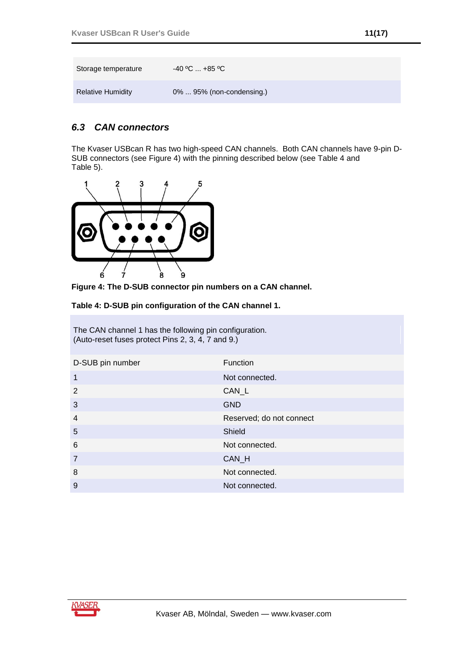Storage temperature -40 °C ... +85 °C

Relative Humidity 0% ... 95% (non-condensing.)

## <span id="page-10-0"></span>*6.3 CAN connectors*

The Kvaser USBcan R has two high-speed CAN channels. Both CAN channels have 9-pin D-SUB connectors (see [Figure 4\)](#page-10-1) with the pinning described below (see [Table 4](#page-10-2) and [Table](#page-11-0) 5).



<span id="page-10-1"></span>

<span id="page-10-2"></span>**Table 4: D-SUB pin configuration of the CAN channel 1.**

The CAN channel 1 has the following pin configuration. (Auto-reset fuses protect Pins 2, 3, 4, 7 and 9.)

| D-SUB pin number | Function                 |
|------------------|--------------------------|
| 1                | Not connected.           |
| 2                | CAN_L                    |
| 3                | <b>GND</b>               |
| 4                | Reserved; do not connect |
| 5                | Shield                   |
| 6                | Not connected.           |
| $\overline{7}$   | CAN_H                    |
| 8                | Not connected.           |
| 9                | Not connected.           |
|                  |                          |

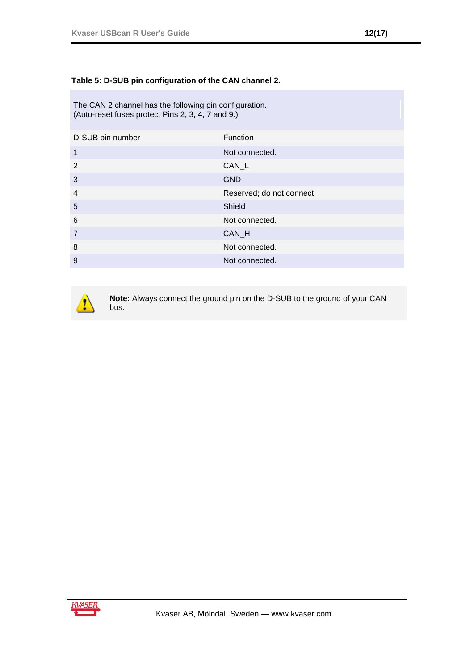#### <span id="page-11-0"></span>**Table 5: D-SUB pin configuration of the CAN channel 2.**

The CAN 2 channel has the following pin configuration. (Auto-reset fuses protect Pins 2, 3, 4, 7 and 9.)

| D-SUB pin number | Function                 |
|------------------|--------------------------|
| 1                | Not connected.           |
| 2                | CAN_L                    |
| 3                | <b>GND</b>               |
| 4                | Reserved; do not connect |
| 5                | Shield                   |
| 6                | Not connected.           |
| $\overline{7}$   | CAN_H                    |
| 8                | Not connected.           |
| 9                | Not connected.           |
|                  |                          |



**Note:** Always connect the ground pin on the D-SUB to the ground of your CAN bus.

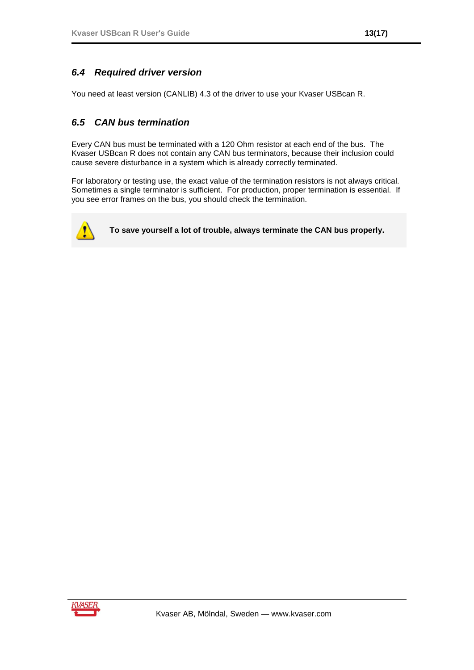#### <span id="page-12-0"></span>*6.4 Required driver version*

You need at least version (CANLIB) 4.3 of the driver to use your Kvaser USBcan R.

#### <span id="page-12-1"></span>*6.5 CAN bus termination*

Every CAN bus must be terminated with a 120 Ohm resistor at each end of the bus. The Kvaser USBcan R does not contain any CAN bus terminators, because their inclusion could cause severe disturbance in a system which is already correctly terminated.

For laboratory or testing use, the exact value of the termination resistors is not always critical. Sometimes a single terminator is sufficient. For production, proper termination is essential. If you see error frames on the bus, you should check the termination.



**To save yourself a lot of trouble, always terminate the CAN bus properly.**

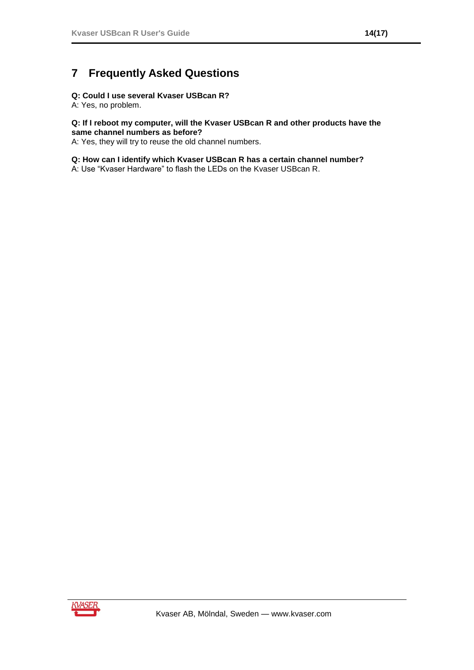# <span id="page-13-0"></span>**7 Frequently Asked Questions**

#### **Q: Could I use several Kvaser USBcan R?**

A: Yes, no problem.

#### **Q: If I reboot my computer, will the Kvaser USBcan R and other products have the same channel numbers as before?**

A: Yes, they will try to reuse the old channel numbers.

**Q: How can I identify which Kvaser USBcan R has a certain channel number?** A: Use "Kvaser Hardware" to flash the LEDs on the Kvaser USBcan R.

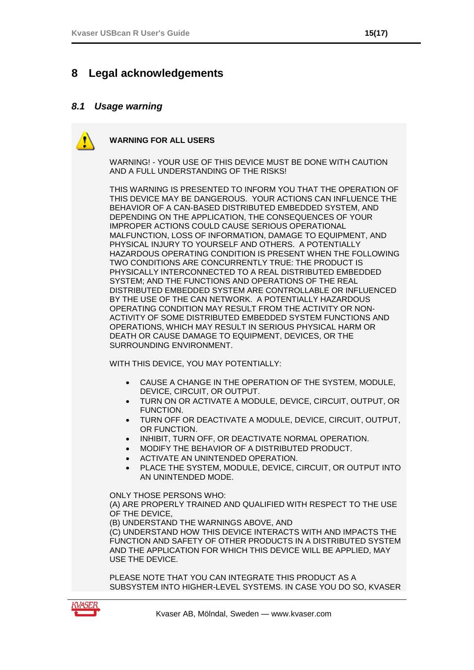## <span id="page-14-0"></span>**8 Legal acknowledgements**

#### <span id="page-14-1"></span>*8.1 Usage warning*



**WARNING FOR ALL USERS**

WARNING! - YOUR USE OF THIS DEVICE MUST BE DONE WITH CAUTION AND A FULL UNDERSTANDING OF THE RISKS!

THIS WARNING IS PRESENTED TO INFORM YOU THAT THE OPERATION OF THIS DEVICE MAY BE DANGEROUS. YOUR ACTIONS CAN INFLUENCE THE BEHAVIOR OF A CAN-BASED DISTRIBUTED EMBEDDED SYSTEM, AND DEPENDING ON THE APPLICATION, THE CONSEQUENCES OF YOUR IMPROPER ACTIONS COULD CAUSE SERIOUS OPERATIONAL MALFUNCTION, LOSS OF INFORMATION, DAMAGE TO EQUIPMENT, AND PHYSICAL INJURY TO YOURSELF AND OTHERS. A POTENTIALLY HAZARDOUS OPERATING CONDITION IS PRESENT WHEN THE FOLLOWING TWO CONDITIONS ARE CONCURRENTLY TRUE: THE PRODUCT IS PHYSICALLY INTERCONNECTED TO A REAL DISTRIBUTED EMBEDDED SYSTEM; AND THE FUNCTIONS AND OPERATIONS OF THE REAL DISTRIBUTED EMBEDDED SYSTEM ARE CONTROLLABLE OR INFLUENCED BY THE USE OF THE CAN NETWORK. A POTENTIALLY HAZARDOUS OPERATING CONDITION MAY RESULT FROM THE ACTIVITY OR NON-ACTIVITY OF SOME DISTRIBUTED EMBEDDED SYSTEM FUNCTIONS AND OPERATIONS, WHICH MAY RESULT IN SERIOUS PHYSICAL HARM OR DEATH OR CAUSE DAMAGE TO EQUIPMENT, DEVICES, OR THE SURROUNDING ENVIRONMENT.

WITH THIS DEVICE, YOU MAY POTENTIALLY:

- CAUSE A CHANGE IN THE OPERATION OF THE SYSTEM, MODULE, DEVICE, CIRCUIT, OR OUTPUT.
- TURN ON OR ACTIVATE A MODULE, DEVICE, CIRCUIT, OUTPUT, OR FUNCTION.
- TURN OFF OR DEACTIVATE A MODULE, DEVICE, CIRCUIT, OUTPUT, OR FUNCTION.
- INHIBIT, TURN OFF, OR DEACTIVATE NORMAL OPERATION.
- MODIFY THE BEHAVIOR OF A DISTRIBUTED PRODUCT.
- ACTIVATE AN UNINTENDED OPERATION.
- PLACE THE SYSTEM, MODULE, DEVICE, CIRCUIT, OR OUTPUT INTO AN UNINTENDED MODE.

ONLY THOSE PERSONS WHO:

(A) ARE PROPERLY TRAINED AND QUALIFIED WITH RESPECT TO THE USE OF THE DEVICE,

(B) UNDERSTAND THE WARNINGS ABOVE, AND

(C) UNDERSTAND HOW THIS DEVICE INTERACTS WITH AND IMPACTS THE FUNCTION AND SAFETY OF OTHER PRODUCTS IN A DISTRIBUTED SYSTEM AND THE APPLICATION FOR WHICH THIS DEVICE WILL BE APPLIED, MAY USE THE DEVICE.

PLEASE NOTE THAT YOU CAN INTEGRATE THIS PRODUCT AS A SUBSYSTEM INTO HIGHER-LEVEL SYSTEMS. IN CASE YOU DO SO, KVASER

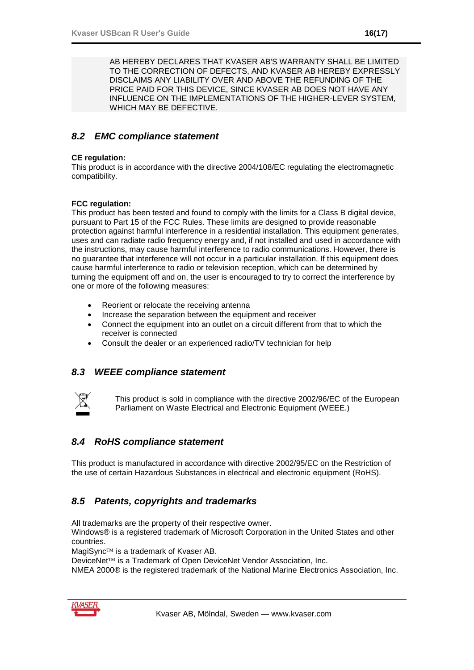AB HEREBY DECLARES THAT KVASER AB'S WARRANTY SHALL BE LIMITED TO THE CORRECTION OF DEFECTS, AND KVASER AB HEREBY EXPRESSLY DISCLAIMS ANY LIABILITY OVER AND ABOVE THE REFUNDING OF THE PRICE PAID FOR THIS DEVICE, SINCE KVASER AB DOES NOT HAVE ANY INFLUENCE ON THE IMPLEMENTATIONS OF THE HIGHER-LEVER SYSTEM, WHICH MAY BE DEFECTIVE.

#### <span id="page-15-0"></span>*8.2 EMC compliance statement*

#### **CE regulation:**

This product is in accordance with the directive 2004/108/EC regulating the electromagnetic compatibility.

#### **FCC regulation:**

This product has been tested and found to comply with the limits for a Class B digital device, pursuant to Part 15 of the FCC Rules. These limits are designed to provide reasonable protection against harmful interference in a residential installation. This equipment generates, uses and can radiate radio frequency energy and, if not installed and used in accordance with the instructions, may cause harmful interference to radio communications. However, there is no guarantee that interference will not occur in a particular installation. If this equipment does cause harmful interference to radio or television reception, which can be determined by turning the equipment off and on, the user is encouraged to try to correct the interference by one or more of the following measures:

- Reorient or relocate the receiving antenna
- Increase the separation between the equipment and receiver
- Connect the equipment into an outlet on a circuit different from that to which the receiver is connected
- Consult the dealer or an experienced radio/TV technician for help

#### <span id="page-15-1"></span>*8.3 WEEE compliance statement*



This product is sold in compliance with the directive 2002/96/EC of the European Parliament on Waste Electrical and Electronic Equipment (WEEE.)

#### <span id="page-15-2"></span>*8.4 RoHS compliance statement*

This product is manufactured in accordance with directive 2002/95/EC on the Restriction of the use of certain Hazardous Substances in electrical and electronic equipment (RoHS).

## <span id="page-15-3"></span>*8.5 Patents, copyrights and trademarks*

All trademarks are the property of their respective owner.

Windows® is a registered trademark of Microsoft Corporation in the United States and other countries.

MagiSync™ is a trademark of Kvaser AB.

DeviceNet™ is a Trademark of Open DeviceNet Vendor Association, Inc.

NMEA 2000® is the registered trademark of the National Marine Electronics Association, Inc.